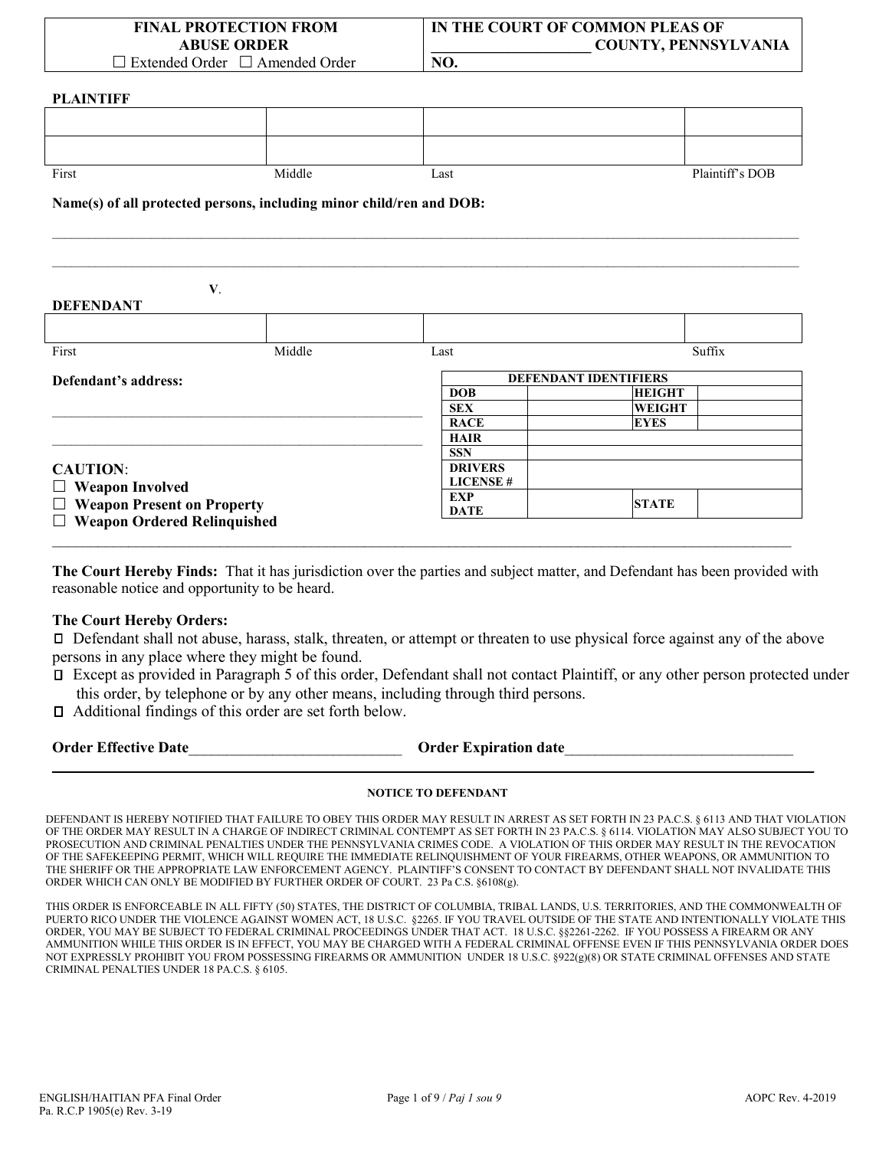| <b>FINAL PROTECTION FROM</b><br><b>ABUSE ORDER</b> |        |                                                                      | IN THE COURT OF COMMON PLEAS OF<br><b>COUNTY, PENNSYLVANIA</b> |  |
|----------------------------------------------------|--------|----------------------------------------------------------------------|----------------------------------------------------------------|--|
| $\Box$ Extended Order $\Box$ Amended Order         |        | NO.                                                                  |                                                                |  |
| <b>PLAINTIFF</b>                                   |        |                                                                      |                                                                |  |
|                                                    |        |                                                                      |                                                                |  |
|                                                    |        |                                                                      |                                                                |  |
|                                                    |        |                                                                      |                                                                |  |
| First                                              | Middle | Last                                                                 | Plaintiff's DOB                                                |  |
|                                                    |        | Name(s) of all protected persons, including minor child/ren and DOB: |                                                                |  |
|                                                    |        |                                                                      |                                                                |  |
| <b>DEFENDANT</b>                                   | V.     |                                                                      |                                                                |  |
|                                                    |        |                                                                      |                                                                |  |
| First                                              | Middle | Last                                                                 | Suffix                                                         |  |
| Defendant's address:                               |        | <b>DEFENDANT IDENTIFIERS</b>                                         |                                                                |  |
|                                                    |        | <b>DOB</b>                                                           | <b>HEIGHT</b>                                                  |  |
|                                                    |        | <b>SEX</b>                                                           | <b>WEIGHT</b>                                                  |  |
|                                                    |        | <b>RACE</b>                                                          | <b>EYES</b>                                                    |  |
|                                                    |        | <b>HAIR</b>                                                          |                                                                |  |
|                                                    |        | <b>SSN</b>                                                           |                                                                |  |
| <b>CAUTION:</b>                                    |        | <b>DRIVERS</b>                                                       |                                                                |  |
| $\Box$ Weapon Involved                             |        | <b>LICENSE#</b>                                                      |                                                                |  |
|                                                    |        | <b>EXP</b>                                                           |                                                                |  |

 **Weapon Present on Property**

**Weapon Ordered Relinquished**

**The Court Hereby Finds:** That it has jurisdiction over the parties and subject matter, and Defendant has been provided with reasonable notice and opportunity to be heard.

 $\_$  , and the state of the state of the state of the state of the state of the state of the state of the state of the state of the state of the state of the state of the state of the state of the state of the state of the

#### **The Court Hereby Orders:**

 Defendant shall not abuse, harass, stalk, threaten, or attempt or threaten to use physical force against any of the above persons in any place where they might be found.

 Except as provided in Paragraph 5 of this order, Defendant shall not contact Plaintiff, or any other person protected under this order, by telephone or by any other means, including through third persons.

Additional findings of this order are set forth below.

|  | <b>Order Effective Date</b> |  |
|--|-----------------------------|--|
|--|-----------------------------|--|

**Order Expiration date** 

**DATE STATE**

# **\_\_\_\_\_\_\_\_\_\_\_\_\_\_\_\_\_\_\_\_\_\_\_\_\_\_\_\_\_\_\_\_\_\_\_\_\_\_\_\_\_\_\_\_\_\_\_\_\_\_\_\_\_\_\_\_\_\_\_\_\_\_\_\_\_\_\_\_\_\_\_\_\_\_\_\_\_\_\_\_\_\_\_\_\_\_\_\_\_\_\_\_\_\_\_\_\_\_\_\_ NOTICE TO DEFENDANT**

DEFENDANT IS HEREBY NOTIFIED THAT FAILURE TO OBEY THIS ORDER MAY RESULT IN ARREST AS SET FORTH IN 23 PA.C.S. § 6113 AND THAT VIOLATION OF THE ORDER MAY RESULT IN A CHARGE OF INDIRECT CRIMINAL CONTEMPT AS SET FORTH IN 23 PA.C.S. § 6114. VIOLATION MAY ALSO SUBJECT YOU TO PROSECUTION AND CRIMINAL PENALTIES UNDER THE PENNSYLVANIA CRIMES CODE. A VIOLATION OF THIS ORDER MAY RESULT IN THE REVOCATION OF THE SAFEKEEPING PERMIT, WHICH WILL REQUIRE THE IMMEDIATE RELINQUISHMENT OF YOUR FIREARMS, OTHER WEAPONS, OR AMMUNITION TO THE SHERIFF OR THE APPROPRIATE LAW ENFORCEMENT AGENCY. PLAINTIFF'S CONSENT TO CONTACT BY DEFENDANT SHALL NOT INVALIDATE THIS ORDER WHICH CAN ONLY BE MODIFIED BY FURTHER ORDER OF COURT. 23 Pa C.S. §6108(g).

THIS ORDER IS ENFORCEABLE IN ALL FIFTY (50) STATES, THE DISTRICT OF COLUMBIA, TRIBAL LANDS, U.S. TERRITORIES, AND THE COMMONWEALTH OF PUERTO RICO UNDER THE VIOLENCE AGAINST WOMEN ACT, 18 U.S.C. §2265. IF YOU TRAVEL OUTSIDE OF THE STATE AND INTENTIONALLY VIOLATE THIS ORDER, YOU MAY BE SUBJECT TO FEDERAL CRIMINAL PROCEEDINGS UNDER THAT ACT. 18 U.S.C. §§2261-2262. IF YOU POSSESS A FIREARM OR ANY AMMUNITION WHILE THIS ORDER IS IN EFFECT, YOU MAY BE CHARGED WITH A FEDERAL CRIMINAL OFFENSE EVEN IF THIS PENNSYLVANIA ORDER DOES NOT EXPRESSLY PROHIBIT YOU FROM POSSESSING FIREARMS OR AMMUNITION UNDER 18 U.S.C. §922(g)(8) OR STATE CRIMINAL OFFENSES AND STATE CRIMINAL PENALTIES UNDER 18 PA.C.S. § 6105.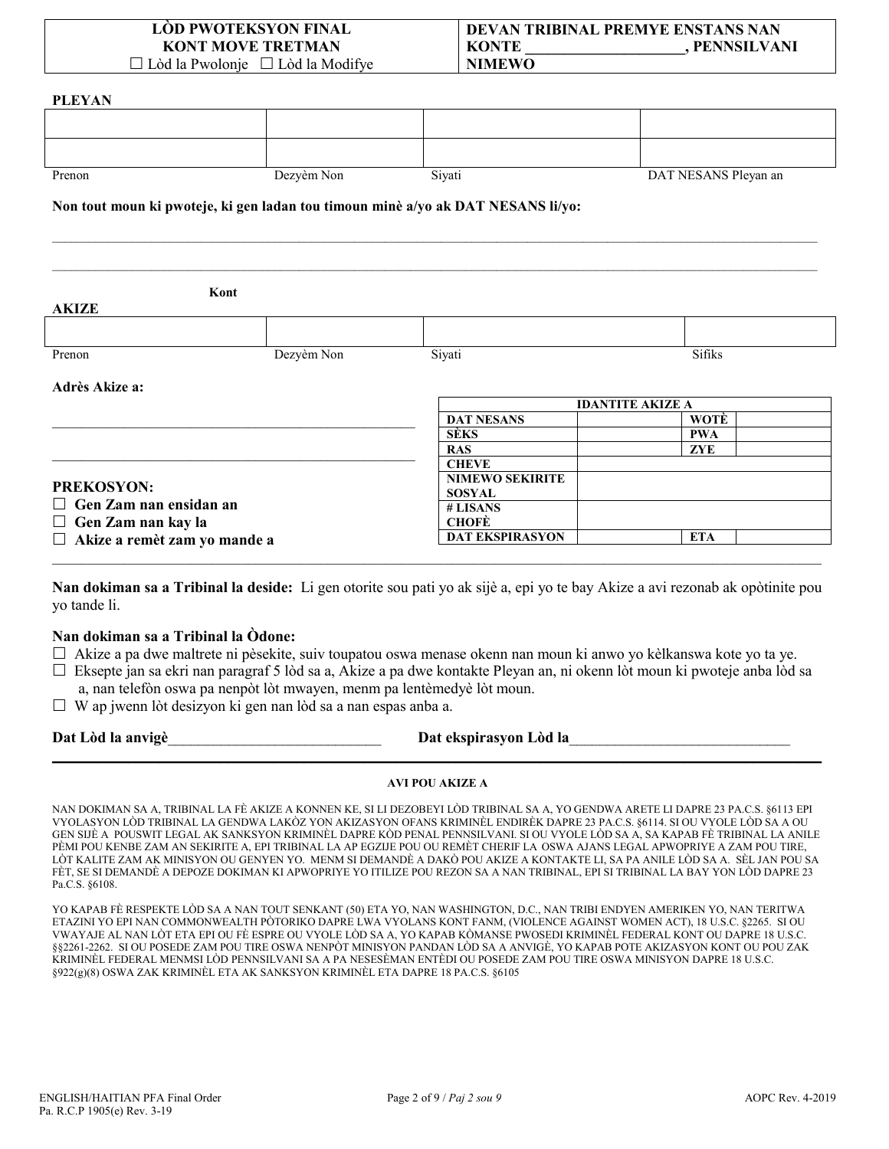#### **LÒD PWOTEKSYON FINAL KONT MOVE TRETMAN**  $\Box$  Lòd la Pwolonje  $\Box$  Lòd la Modifye

#### **DEVAN TRIBINAL PREMYE ENSTANS NAN KONTE** , PENNSILVANI **NIMEWO**

**PLEYAN** Prenon Dezyèm Non Siyati DAT NESANS Pleyan an Non tout moun ki pwoteje, ki gen ladan tou timoun minè a/yo ak DAT NESANS li/yo: Kont AKIZE **Sifiks** Prenon Dezyèm Non Siyati Adrès Akize a: **IDANTITE AKIZE A DAT NESANS** WOTÈ **SÈKS PWA ZYE RAS CHEVE NIMEWO SEKIRITE PREKOSYON: SOSYAL**  $\Box$  Gen Zam nan ensidan an # LISANS  $\Box$  Gen Zam nan kay la **CHOFÈ DAT EKSPIRASYON ETA**  $\Box$  Akize a remèt zam yo mande a

Nan dokiman sa a Tribinal la deside: Li gen otorite sou pati yo ak sijè a, epi yo te bay Akize a avi rezonab ak opòtinite pou yo tande li.

## Nan dokiman sa a Tribinal la Òdone:

□ Akize a pa dwe maltrete ni pèsekite, suiv toupatou oswa menase okenn nan moun ki anwo yo kèlkanswa kote yo ta ye.

- □ Eksepte jan sa ekri nan paragraf 5 lòd sa a, Akize a pa dwe kontakte Pleyan an, ni okenn lòt moun ki pwoteje anba lòd sa a, nan telefòn oswa pa nenpòt lòt mwayen, menm pa lentèmedyè lòt moun.
- $\Box$  W ap jwenn lòt desizyon ki gen nan lòd sa a nan espas anba a.

Dat Lòd la anvigè

#### Dat ekspirasyon Lòd la

#### **AVI POU AKIZE A**

NAN DOKIMAN SA A, TRIBINAL LA FÈ AKIZE A KONNEN KE, SI LI DEZOBEYI LÒD TRIBINAL SA A, YO GENDWA ARETE LI DAPRE 23 PA.C.S. §6113 EPI VYOLASYON LÒD TRIBINAL LA GENDWA LAKÒZ YON AKIZASYON OFANS KRIMINÈL ENDIRÈK DAPRE 23 PA.C.S. §6114. SI OU VYOLE LÒD SA A OU GEN SIJÈ A POUSWIT LEGAL AK SANKSYON KRIMINÈL DAPRE KÒD PENAL PENNSILVANI. SI OU VYOLE LÒD SA A, SA KAPAB FÈ TRIBINAL LA ANILE PÈMI POU KENBE ZAM AN SEKIRITE A, EPI TRIBINAL LA AP EGZIJE POU OU REMÈT CHERIF LA OSWA AJANS LEGAL APWOPRIYE A ZAM POU TIRE, LÒT KALITE ZAM AK MINISYON OU GENYEN YO. MENM SI DEMANDÈ A DAKÒ POU AKIZE A KONTAKTE LI, SA PA ANILE LÒD SA A. SÈL JAN POU SA FÈT, SE SI DEMANDÈ A DEPOZE DOKIMAN KI APWOPRIYE YO ITILIZE POU REZON SA A NAN TRIBINAL, EPI SI TRIBINAL LA BAY YON LÒD DAPRE 23 Pa.C.S. §6108.

YO KAPAB FÈ RESPEKTE LÒD SA A NAN TOUT SENKANT (50) ETA YO, NAN WASHINGTON, D.C., NAN TRIBI ENDYEN AMERIKEN YO, NAN TERITWA ETAZINI YO EPI NAN COMMONWEALTH PÒTORIKO DAPRE LWA VYOLANS KONT FANM, (VIOLENCE AGAINST WOMEN ACT), 18 U.S.C. §2265. SI OU VWAYAJE AL NAN LÒT ETA EPI OU FÈ ESPRE OU VYOLE LÒD SA A, YO KAPAB KÒMANSE PWOSEDI KRIMINÈL FEDERAL KONT OU DAPRE 18 U.S.C. §§2261-2262. SI OU POSEDE ZAM POU TIRE OSWA NENPÒT MINISYON PANDAN LÒD SA A ANVIGÈ, YO KAPAB POTE AKIZASYON KONT OU POU ZAK KRIMINÈL FEDERAL MENMSI LÒD PENNSILVANI SA A PA NESESÈMAN ENTÈDI OU POSEDE ZAM POU TIRE OSWA MINISYON DAPRE 18 U.S.C. §922(g)(8) OSWA ZAK KRIMINÈL ETA AK SANKSYON KRIMINÈL ETA DAPRE 18 PA.C.S. §6105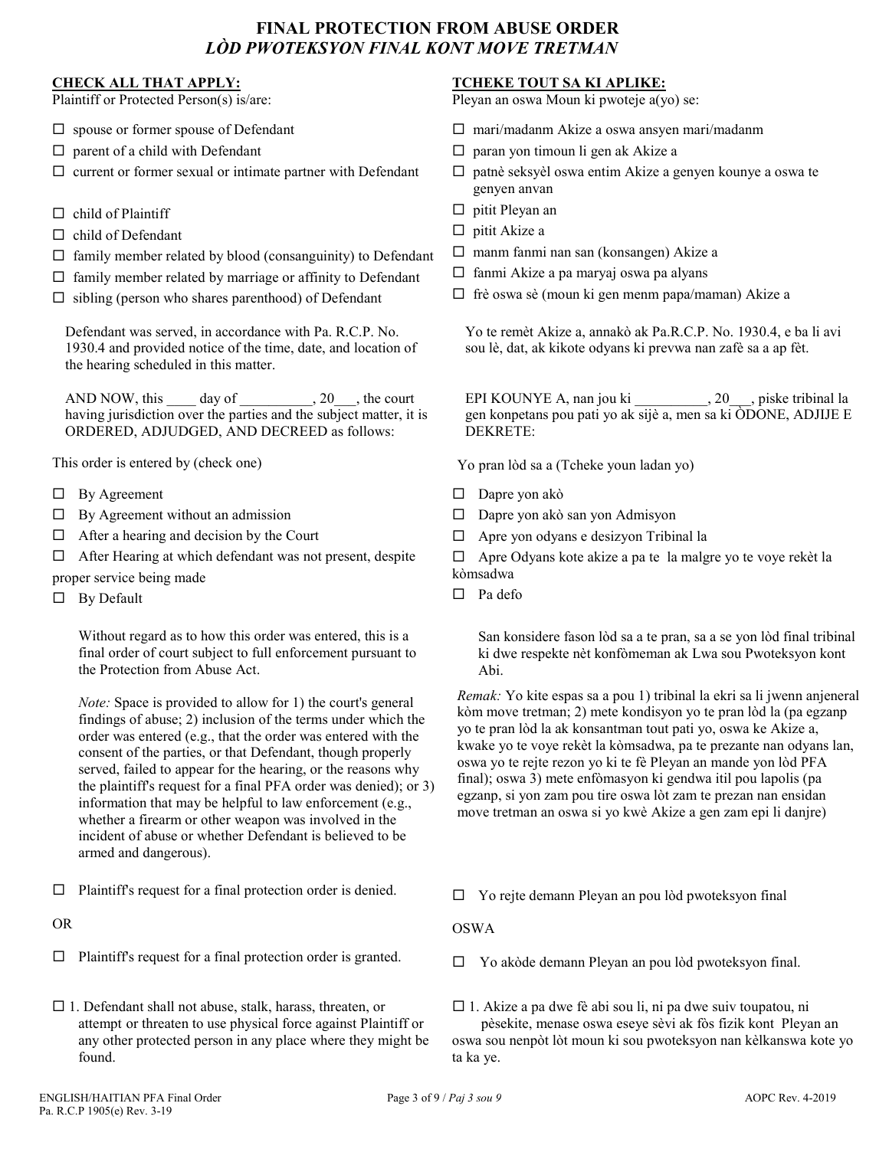# **FINAL PROTECTION FROM ABUSE ORDER**  *LÒD PWOTEKSYON FINAL KONT MOVE TRETMAN*

### **CHECK ALL THAT APPLY:**

Plaintiff or Protected Person(s) is/are:

- $\square$  spouse or former spouse of Defendant
- $\square$  parent of a child with Defendant
- $\square$  current or former sexual or intimate partner with Defendant
- $\Box$  child of Plaintiff
- $\Box$  child of Defendant
- $\Box$  family member related by blood (consanguinity) to Defendant
- $\Box$  family member related by marriage or affinity to Defendant
- $\Box$  sibling (person who shares parenthood) of Defendant

Defendant was served, in accordance with Pa. R.C.P. No. 1930.4 and provided notice of the time, date, and location of the hearing scheduled in this matter.

AND NOW, this  $\rule{1em}{0.15mm}$  day of  $\rule{1.5mm}{0.15mm}$ , 20 $\rule{1.5mm}$ , the court having jurisdiction over the parties and the subject matter, it is ORDERED, ADJUDGED, AND DECREED as follows:

This order is entered by (check one)

- $\Box$  By Agreement
- $\Box$  By Agreement without an admission
- $\Box$  After a hearing and decision by the Court
- $\Box$  After Hearing at which defendant was not present, despite proper service being made
- $\Box$  By Default

Without regard as to how this order was entered, this is a final order of court subject to full enforcement pursuant to the Protection from Abuse Act.

*Note:* Space is provided to allow for 1) the court's general findings of abuse; 2) inclusion of the terms under which the order was entered (e.g., that the order was entered with the consent of the parties, or that Defendant, though properly served, failed to appear for the hearing, or the reasons why the plaintiff's request for a final PFA order was denied); or 3) information that may be helpful to law enforcement (e.g., whether a firearm or other weapon was involved in the incident of abuse or whether Defendant is believed to be armed and dangerous).

 $\Box$  Plaintiff's request for a final protection order is denied.

OR

- $\Box$  Plaintiff's request for a final protection order is granted.
- $\Box$  1. Defendant shall not abuse, stalk, harass, threaten, or attempt or threaten to use physical force against Plaintiff or any other protected person in any place where they might be found.

### **TCHEKE TOUT SA KI APLIKE:**

Pleyan an oswa Moun ki pwoteje a(yo) se:

- $\Box$  mari/madanm Akize a oswa ansyen mari/madanm
- □ paran yon timoun li gen ak Akize a
- $\Box$  patnè seksyèl oswa entim Akize a genyen kounye a oswa te genyen anvan
- $\Box$  pitit Pleyan an
- $\Box$  pitit Akize a
- $\Box$  manm fanmi nan san (konsangen) Akize a
- $\Box$  fanmi Akize a pa maryaj oswa pa alyans
- $\Box$  frè oswa sè (moun ki gen menm papa/maman) Akize a

Yo te remèt Akize a, annakò ak Pa.R.C.P. No. 1930.4, e ba li avi sou lè, dat, ak kikote odyans ki prevwa nan zafè sa a ap fèt.

EPI KOUNYE A, nan jou ki \_\_\_\_\_\_\_\_\_\_, 20\_\_\_, piske tribinal la gen konpetans pou pati yo ak sijè a, men sa ki ÒDONE, ADJIJE E DEKRETE:

Yo pran lòd sa a (Tcheke youn ladan yo)

- $\square$  Dapre yon akò
- □ Dapre yon akò san yon Admisyon
- Apre yon odyans e desizyon Tribinal la

□ Apre Odyans kote akize a pa te la malgre yo te voye rekèt la kòmsadwa

 $\Box$  Pa defo

San konsidere fason lòd sa a te pran, sa a se yon lòd final tribinal ki dwe respekte nèt konfòmeman ak Lwa sou Pwoteksyon kont Abi.

*Remak:* Yo kite espas sa a pou 1) tribinal la ekri sa li jwenn anjeneral kòm move tretman; 2) mete kondisyon yo te pran lòd la (pa egzanp yo te pran lòd la ak konsantman tout pati yo, oswa ke Akize a, kwake yo te voye rekèt la kòmsadwa, pa te prezante nan odyans lan, oswa yo te rejte rezon yo ki te fè Pleyan an mande yon lòd PFA final); oswa 3) mete enfòmasyon ki gendwa itil pou lapolis (pa egzanp, si yon zam pou tire oswa lòt zam te prezan nan ensidan move tretman an oswa si yo kwè Akize a gen zam epi li danjre)

 $\Box$  Yo rejte demann Pleyan an pou lòd pwoteksyon final

OSWA

□ Yo akòde demann Pleyan an pou lòd pwoteksyon final.

 $\Box$  1. Akize a pa dwe fè abi sou li, ni pa dwe suiv toupatou, ni pèsekite, menase oswa eseye sèvi ak fòs fizik kont Pleyan an oswa sou nenpòt lòt moun ki sou pwoteksyon nan kèlkanswa kote yo ta ka ye.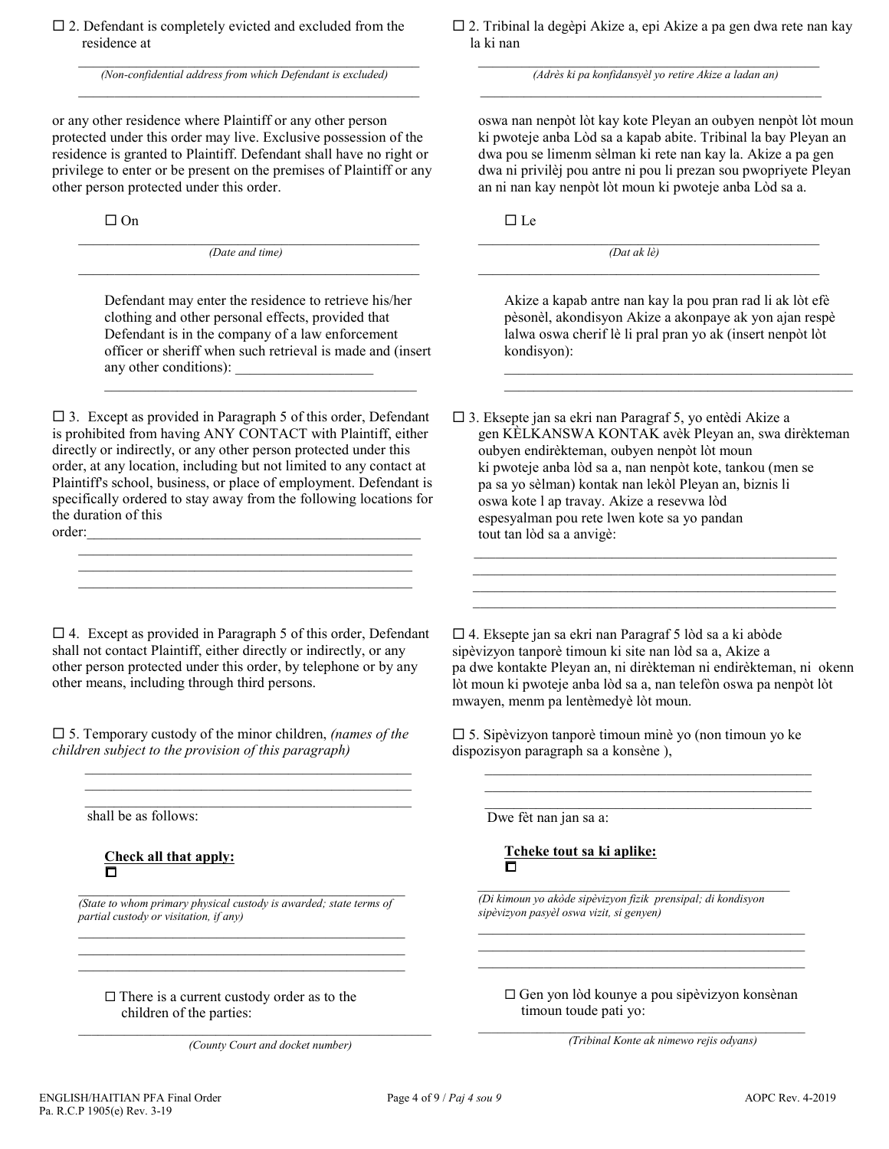$\Box$  2. Defendant is completely evicted and excluded from the residence at

(Non-confidential address from which Defendant is excluded)

or any other residence where Plaintiff or any other person protected under this order may live. Exclusive possession of the residence is granted to Plaintiff. Defendant shall have no right or privilege to enter or be present on the premises of Plaintiff or any other person protected under this order.

 $\Box$  On

(Date and time)

Defendant may enter the residence to retrieve his/her clothing and other personal effects, provided that Defendant is in the company of a law enforcement officer or sheriff when such retrieval is made and (insert any other conditions):

 $\Box$  3. Except as provided in Paragraph 5 of this order, Defendant is prohibited from having ANY CONTACT with Plaintiff, either directly or indirectly, or any other person protected under this order, at any location, including but not limited to any contact at Plaintiff's school, business, or place of employment. Defendant is specifically ordered to stay away from the following locations for the duration of this order:

 $\Box$  4. Except as provided in Paragraph 5 of this order, Defendant shall not contact Plaintiff, either directly or indirectly, or any other person protected under this order, by telephone or by any other means, including through third persons.

 $\square$  5. Temporary custody of the minor children, (names of the children subject to the provision of this paragraph)

shall be as follows:

Check all that apply:  $\overline{\Box}$ 

(State to whom primary physical custody is awarded; state terms of partial custody or visitation, if any)

 $\Box$  There is a current custody order as to the children of the parties:

(County Court and docket number)

□ 2. Tribinal la degèpi Akize a, epi Akize a pa gen dwa rete nan kay la ki nan

(Adrès ki pa konfidansyèl yo retire Akize a ladan an)

oswa nan nenpòt lòt kay kote Pleyan an oubyen nenpòt lòt moun ki pwoteje anba Lòd sa a kapab abite. Tribinal la bay Pleyan an dwa pou se limenm sèlman ki rete nan kay la. Akize a pa gen dwa ni privilèj pou antre ni pou li prezan sou pwopriyete Pleyan an ni nan kay nenpòt lòt moun ki pwoteje anba Lòd sa a.

 $\Box$  Le

 $(Dat \, ak \, l\grave{e})$ 

Akize a kapab antre nan kay la pou pran rad li ak lòt efè pèsonèl, akondisyon Akize a akonpaye ak yon ajan respè lalwa oswa cherif lè li pral pran yo ak (insert nenpòt lòt kondisyon):

 $\Box$  3. Eksepte jan sa ekri nan Paragraf 5, yo entèdi Akize a gen KÈLKANSWA KONTAK avèk Pleyan an, swa dirèkteman oubyen endirèkteman, oubyen nenpòt lòt moun ki pwoteje anba lòd sa a, nan nenpòt kote, tankou (men se pa sa yo sèlman) kontak nan lekòl Pleyan an, biznis li oswa kote l ap travay. Akize a resevwa lòd espesyalman pou rete lwen kote sa yo pandan tout tan lòd sa a anvigè:

 $\Box$  4. Eksepte jan sa ekri nan Paragraf 5 lòd sa a ki abòde sipèvizyon tanporè timoun ki site nan lòd sa a, Akize a pa dwe kontakte Pleyan an, ni dirèkteman ni endirèkteman, ni okenn lòt moun ki pwoteje anba lòd sa a, nan telefòn oswa pa nenpòt lòt mwayen, menm pa lentèmedyè lòt moun.

 $\square$  5. Sipèvizyon tanporè timoun minè yo (non timoun yo ke dispozisyon paragraph sa a konsène),

Dwe fèt nan jan sa a:

Tcheke tout sa ki aplike: n

(Di kimoun yo akòde sipèvizyon fizik prensipal; di kondisyon sipèvizyon pasyèl oswa vizit, si genyen)

 $\Box$  Gen yon lòd kounye a pou sipèvizyon konsènan timoun toude pati yo:

(Tribinal Konte ak nimewo rejis odyans)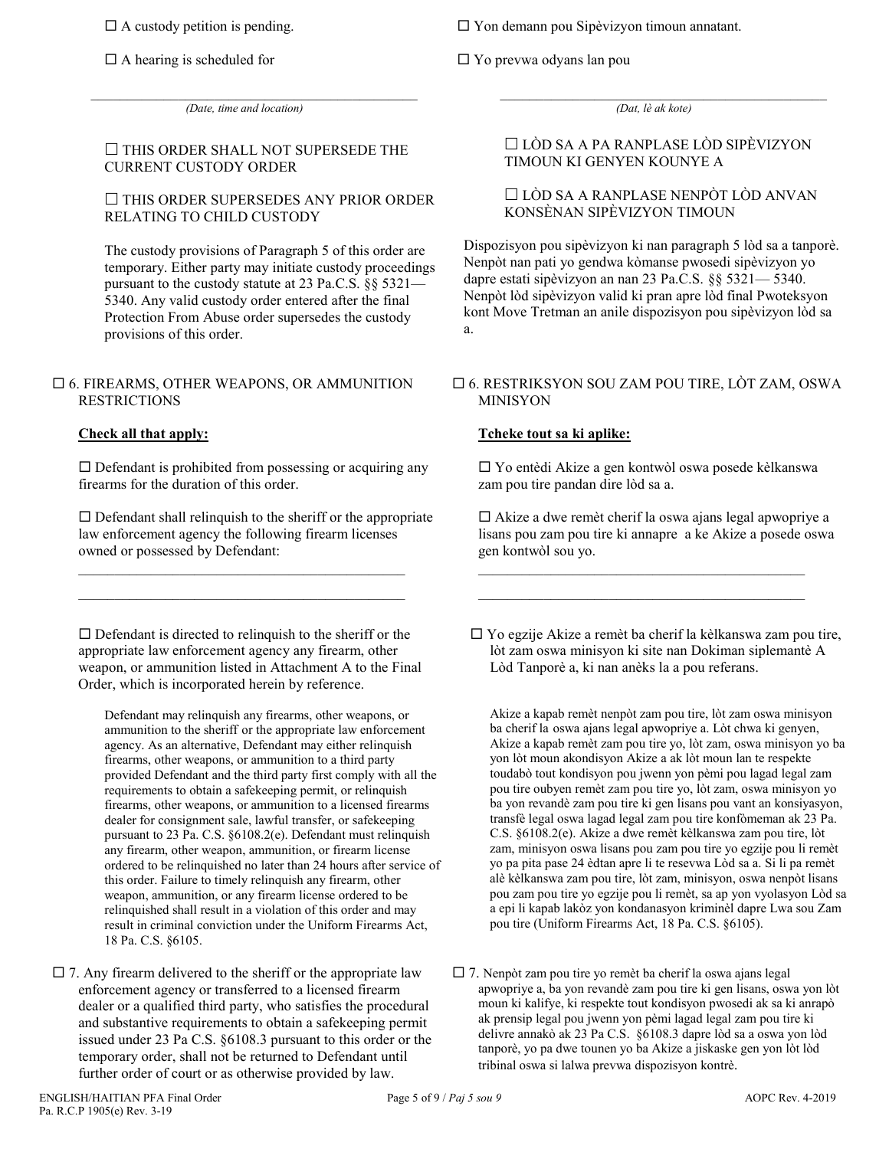$\Box$  A custody petition is pending.

 $\Box$  A hearing is scheduled for

 $\Box$  Yon demann pou Sipèvizyon timoun annatant.

Yo prevwa odyans lan pou

 $\mathcal{L}_\mathcal{L} = \{ \mathcal{L}_\mathcal{L} = \{ \mathcal{L}_\mathcal{L} = \{ \mathcal{L}_\mathcal{L} = \{ \mathcal{L}_\mathcal{L} = \{ \mathcal{L}_\mathcal{L} = \{ \mathcal{L}_\mathcal{L} = \{ \mathcal{L}_\mathcal{L} = \{ \mathcal{L}_\mathcal{L} = \{ \mathcal{L}_\mathcal{L} = \{ \mathcal{L}_\mathcal{L} = \{ \mathcal{L}_\mathcal{L} = \{ \mathcal{L}_\mathcal{L} = \{ \mathcal{L}_\mathcal{L} = \{ \mathcal{L}_\mathcal{$ *(Dat, lè ak kote)*

### $\Box$  THIS ORDER SHALL NOT SUPERSEDE THE CURRENT CUSTODY ORDER

 $\mathcal{L}_\mathcal{L} = \{ \mathcal{L}_\mathcal{L} = \{ \mathcal{L}_\mathcal{L} = \{ \mathcal{L}_\mathcal{L} = \{ \mathcal{L}_\mathcal{L} = \{ \mathcal{L}_\mathcal{L} = \{ \mathcal{L}_\mathcal{L} = \{ \mathcal{L}_\mathcal{L} = \{ \mathcal{L}_\mathcal{L} = \{ \mathcal{L}_\mathcal{L} = \{ \mathcal{L}_\mathcal{L} = \{ \mathcal{L}_\mathcal{L} = \{ \mathcal{L}_\mathcal{L} = \{ \mathcal{L}_\mathcal{L} = \{ \mathcal{L}_\mathcal{$ *(Date, time and location)*

### $\Box$  THIS ORDER SUPERSEDES ANY PRIOR ORDER RELATING TO CHILD CUSTODY

The custody provisions of Paragraph 5 of this order are temporary. Either party may initiate custody proceedings pursuant to the custody statute at 23 Pa.C.S. §§ 5321— 5340. Any valid custody order entered after the final Protection From Abuse order supersedes the custody provisions of this order.

#### 6. FIREARMS, OTHER WEAPONS, OR AMMUNITION RESTRICTIONS

### **Check all that apply:**

 $\square$  Defendant is prohibited from possessing or acquiring any firearms for the duration of this order.

 $\square$  Defendant shall relinquish to the sheriff or the appropriate law enforcement agency the following firearm licenses owned or possessed by Defendant:

 $\mathcal{L}_\text{max}$  and  $\mathcal{L}_\text{max}$  and  $\mathcal{L}_\text{max}$  and  $\mathcal{L}_\text{max}$  $\mathcal{L}_\mathcal{L} = \{ \mathcal{L}_\mathcal{L} = \{ \mathcal{L}_\mathcal{L} = \{ \mathcal{L}_\mathcal{L} = \{ \mathcal{L}_\mathcal{L} = \{ \mathcal{L}_\mathcal{L} = \{ \mathcal{L}_\mathcal{L} = \{ \mathcal{L}_\mathcal{L} = \{ \mathcal{L}_\mathcal{L} = \{ \mathcal{L}_\mathcal{L} = \{ \mathcal{L}_\mathcal{L} = \{ \mathcal{L}_\mathcal{L} = \{ \mathcal{L}_\mathcal{L} = \{ \mathcal{L}_\mathcal{L} = \{ \mathcal{L}_\mathcal{$ 

 $\square$  Defendant is directed to relinguish to the sheriff or the appropriate law enforcement agency any firearm, other weapon, or ammunition listed in Attachment A to the Final Order, which is incorporated herein by reference.

Defendant may relinquish any firearms, other weapons, or ammunition to the sheriff or the appropriate law enforcement agency. As an alternative, Defendant may either relinquish firearms, other weapons, or ammunition to a third party provided Defendant and the third party first comply with all the requirements to obtain a safekeeping permit, or relinquish firearms, other weapons, or ammunition to a licensed firearms dealer for consignment sale, lawful transfer, or safekeeping pursuant to 23 Pa. C.S. §6108.2(e). Defendant must relinquish any firearm, other weapon, ammunition, or firearm license ordered to be relinquished no later than 24 hours after service of this order. Failure to timely relinquish any firearm, other weapon, ammunition, or any firearm license ordered to be relinquished shall result in a violation of this order and may result in criminal conviction under the Uniform Firearms Act, 18 Pa. C.S. §6105.

 $\square$  7. Any firearm delivered to the sheriff or the appropriate law enforcement agency or transferred to a licensed firearm dealer or a qualified third party, who satisfies the procedural and substantive requirements to obtain a safekeeping permit issued under 23 Pa C.S. §6108.3 pursuant to this order or the temporary order, shall not be returned to Defendant until further order of court or as otherwise provided by law.

## $\Box$  LÒD SA A PA RANPLASE LÒD SIPÈVIZYON TIMOUN KI GENYEN KOUNYE A

### LÒD SA A RANPLASE NENPÒT LÒD ANVAN KONSÈNAN SIPÈVIZYON TIMOUN

Dispozisyon pou sipèvizyon ki nan paragraph 5 lòd sa a tanporè. Nenpòt nan pati yo gendwa kòmanse pwosedi sipèvizyon yo dapre estati sipèvizyon an nan 23 Pa.C.S. §§ 5321— 5340. Nenpòt lòd sipèvizyon valid ki pran apre lòd final Pwoteksyon kont Move Tretman an anile dispozisyon pou sipèvizyon lòd sa a.

#### 6. RESTRIKSYON SOU ZAM POU TIRE, LÒT ZAM, OSWA MINISYON

### **Tcheke tout sa ki aplike:**

 Yo entèdi Akize a gen kontwòl oswa posede kèlkanswa zam pou tire pandan dire lòd sa a.

 $\Box$  Akize a dwe remèt cherif la oswa ajans legal apwopriye a lisans pou zam pou tire ki annapre a ke Akize a posede oswa gen kontwòl sou yo.

\_\_\_\_\_\_\_\_\_\_\_\_\_\_\_\_\_\_\_\_\_\_\_\_\_\_\_\_\_\_\_\_\_\_\_\_\_\_\_\_\_\_\_\_\_  $\_$  ,  $\_$  ,  $\_$  ,  $\_$  ,  $\_$  ,  $\_$  ,  $\_$  ,  $\_$  ,  $\_$  ,  $\_$  ,  $\_$  ,  $\_$  ,  $\_$  ,  $\_$  ,  $\_$  ,  $\_$ 

 Yo egzije Akize a remèt ba cherif la kèlkanswa zam pou tire, lòt zam oswa minisyon ki site nan Dokiman siplemantè A Lòd Tanporè a, ki nan anèks la a pou referans.

Akize a kapab remèt nenpòt zam pou tire, lòt zam oswa minisyon ba cherif la oswa ajans legal apwopriye a. Lòt chwa ki genyen, Akize a kapab remèt zam pou tire yo, lòt zam, oswa minisyon yo ba yon lòt moun akondisyon Akize a ak lòt moun lan te respekte toudabò tout kondisyon pou jwenn yon pèmi pou lagad legal zam pou tire oubyen remèt zam pou tire yo, lòt zam, oswa minisyon yo ba yon revandè zam pou tire ki gen lisans pou vant an konsiyasyon, transfè legal oswa lagad legal zam pou tire konfòmeman ak 23 Pa. C.S. §6108.2(e). Akize a dwe remèt kèlkanswa zam pou tire, lòt zam, minisyon oswa lisans pou zam pou tire yo egzije pou li remèt yo pa pita pase 24 èdtan apre li te resevwa Lòd sa a. Si li pa remèt alè kèlkanswa zam pou tire, lòt zam, minisyon, oswa nenpòt lisans pou zam pou tire yo egzije pou li remèt, sa ap yon vyolasyon Lòd sa a epi li kapab lakòz yon kondanasyon kriminèl dapre Lwa sou Zam pou tire (Uniform Firearms Act, 18 Pa. C.S. §6105).

 $\square$  7. Nenpòt zam pou tire yo remèt ba cherif la oswa ajans legal apwopriye a, ba yon revandè zam pou tire ki gen lisans, oswa yon lòt moun ki kalifye, ki respekte tout kondisyon pwosedi ak sa ki anrapò ak prensip legal pou jwenn yon pèmi lagad legal zam pou tire ki delivre annakò ak 23 Pa C.S. §6108.3 dapre lòd sa a oswa yon lòd tanporè, yo pa dwe tounen yo ba Akize a jiskaske gen yon lòt lòd tribinal oswa si lalwa prevwa dispozisyon kontrè.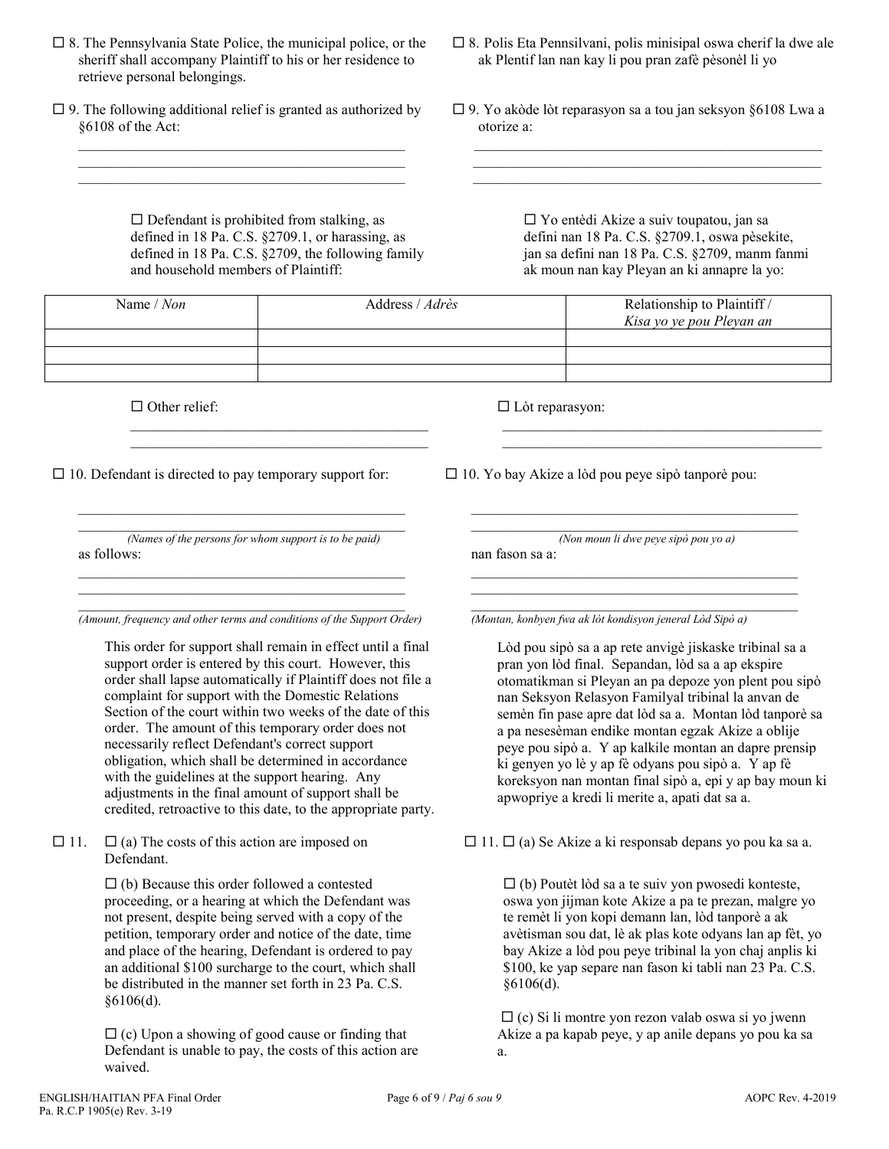- $\square$  8. The Pennsylvania State Police, the municipal police, or the sheriff shall accompany Plaintiff to his or her residence to retrieve personal belongings.
- $\square$  9. The following additional relief is granted as authorized by §6108 of the Act:  $\mathcal{L}_\mathcal{L} = \{ \mathcal{L}_\mathcal{L} = \{ \mathcal{L}_\mathcal{L} = \{ \mathcal{L}_\mathcal{L} = \{ \mathcal{L}_\mathcal{L} = \{ \mathcal{L}_\mathcal{L} = \{ \mathcal{L}_\mathcal{L} = \{ \mathcal{L}_\mathcal{L} = \{ \mathcal{L}_\mathcal{L} = \{ \mathcal{L}_\mathcal{L} = \{ \mathcal{L}_\mathcal{L} = \{ \mathcal{L}_\mathcal{L} = \{ \mathcal{L}_\mathcal{L} = \{ \mathcal{L}_\mathcal{L} = \{ \mathcal{L}_\mathcal{$

 $\mathcal{L}_\mathcal{L} = \{ \mathcal{L}_\mathcal{L} = \{ \mathcal{L}_\mathcal{L} = \{ \mathcal{L}_\mathcal{L} = \{ \mathcal{L}_\mathcal{L} = \{ \mathcal{L}_\mathcal{L} = \{ \mathcal{L}_\mathcal{L} = \{ \mathcal{L}_\mathcal{L} = \{ \mathcal{L}_\mathcal{L} = \{ \mathcal{L}_\mathcal{L} = \{ \mathcal{L}_\mathcal{L} = \{ \mathcal{L}_\mathcal{L} = \{ \mathcal{L}_\mathcal{L} = \{ \mathcal{L}_\mathcal{L} = \{ \mathcal{L}_\mathcal{$  $\mathcal{L}_\mathcal{L} = \{ \mathcal{L}_\mathcal{L} = \{ \mathcal{L}_\mathcal{L} = \{ \mathcal{L}_\mathcal{L} = \{ \mathcal{L}_\mathcal{L} = \{ \mathcal{L}_\mathcal{L} = \{ \mathcal{L}_\mathcal{L} = \{ \mathcal{L}_\mathcal{L} = \{ \mathcal{L}_\mathcal{L} = \{ \mathcal{L}_\mathcal{L} = \{ \mathcal{L}_\mathcal{L} = \{ \mathcal{L}_\mathcal{L} = \{ \mathcal{L}_\mathcal{L} = \{ \mathcal{L}_\mathcal{L} = \{ \mathcal{L}_\mathcal{$ 

> $\square$  Defendant is prohibited from stalking, as defined in 18 Pa. C.S. §2709.1, or harassing, as defined in 18 Pa. C.S. §2709, the following family and household members of Plaintiff:

 $\mathcal{L}_\text{max}$  and  $\mathcal{L}_\text{max}$  and  $\mathcal{L}_\text{max}$  and  $\mathcal{L}_\text{max}$  $\mathcal{L}_\text{max}$  and  $\mathcal{L}_\text{max}$  and  $\mathcal{L}_\text{max}$  and  $\mathcal{L}_\text{max}$  ak Plentif lan nan kay li pou pran zafè pèsonèl li yo

 $\square$  8. Polis Eta Pennsilvani, polis minisipal oswa cherif la dwe ale

 9. Yo akòde lòt reparasyon sa a tou jan seksyon §6108 Lwa a otorize a:

\_\_\_\_\_\_\_\_\_\_\_\_\_\_\_\_\_\_\_\_\_\_\_\_\_\_\_\_\_\_\_\_\_\_\_\_\_\_\_\_\_\_\_\_\_\_\_\_  $\mathcal{L}_\mathcal{L} = \{ \mathcal{L}_\mathcal{L} = \{ \mathcal{L}_\mathcal{L} = \{ \mathcal{L}_\mathcal{L} = \{ \mathcal{L}_\mathcal{L} = \{ \mathcal{L}_\mathcal{L} = \{ \mathcal{L}_\mathcal{L} = \{ \mathcal{L}_\mathcal{L} = \{ \mathcal{L}_\mathcal{L} = \{ \mathcal{L}_\mathcal{L} = \{ \mathcal{L}_\mathcal{L} = \{ \mathcal{L}_\mathcal{L} = \{ \mathcal{L}_\mathcal{L} = \{ \mathcal{L}_\mathcal{L} = \{ \mathcal{L}_\mathcal{$  $\mathcal{L}_\text{max}$  and  $\mathcal{L}_\text{max}$  and  $\mathcal{L}_\text{max}$  and  $\mathcal{L}_\text{max}$  and  $\mathcal{L}_\text{max}$ 

> Yo entèdi Akize a suiv toupatou, jan sa defini nan 18 Pa. C.S. §2709.1, oswa pèsekite, jan sa defini nan 18 Pa. C.S. §2709, manm fanmi ak moun nan kay Pleyan an ki annapre la yo:

| Name / Non | Address / Adrès | Relationship to Plaintiff /<br>Kisa yo ye pou Pleyan an |
|------------|-----------------|---------------------------------------------------------|
|            |                 |                                                         |
|            |                 |                                                         |
|            |                 |                                                         |

 $\Box$  Other relief:

Lòt reparasyon:

 $\Box$  10. Defendant is directed to pay temporary support for:

\_\_\_\_\_\_\_\_\_\_\_\_\_\_\_\_\_\_\_\_\_\_\_\_\_\_\_\_\_\_\_\_\_\_\_\_\_\_\_\_\_\_\_\_\_ *(Names of the persons for whom support is to be paid)* as follows:  $\mathcal{L}_\text{max}$  and  $\mathcal{L}_\text{max}$  and  $\mathcal{L}_\text{max}$  and  $\mathcal{L}_\text{max}$  and  $\mathcal{L}_\text{max}$ 

\_\_\_\_\_\_\_\_\_\_\_\_\_\_\_\_\_\_\_\_\_\_\_\_\_\_\_\_\_\_\_\_\_\_\_\_\_\_\_\_\_\_\_\_\_

\_\_\_\_\_\_\_\_\_\_\_\_\_\_\_\_\_\_\_\_\_\_\_\_\_\_\_\_\_\_\_\_\_\_\_\_\_\_\_\_\_\_\_\_\_

\_\_\_\_\_\_\_\_\_\_\_\_\_\_\_\_\_\_\_\_\_\_\_\_\_\_\_\_\_\_\_\_\_\_\_\_\_\_\_\_\_\_\_\_\_ *(Amount, frequency and other terms and conditions of the Support Order)*

This order for support shall remain in effect until a final support order is entered by this court. However, this order shall lapse automatically if Plaintiff does not file a complaint for support with the Domestic Relations Section of the court within two weeks of the date of this order. The amount of this temporary order does not necessarily reflect Defendant's correct support obligation, which shall be determined in accordance with the guidelines at the support hearing. Any adjustments in the final amount of support shall be credited, retroactive to this date, to the appropriate party.

 $\Box$  11.  $\Box$  (a) The costs of this action are imposed on Defendant.

> $\Box$  (b) Because this order followed a contested proceeding, or a hearing at which the Defendant was not present, despite being served with a copy of the petition, temporary order and notice of the date, time and place of the hearing, Defendant is ordered to pay an additional \$100 surcharge to the court, which shall be distributed in the manner set forth in 23 Pa. C.S. §6106(d).

> $\Box$  (c) Upon a showing of good cause or finding that Defendant is unable to pay, the costs of this action are waived.

\_\_\_\_\_\_\_\_\_\_\_\_\_\_\_\_\_\_\_\_\_\_\_\_\_\_\_\_\_\_\_\_\_\_\_\_\_\_\_\_\_\_\_\_ \_\_\_\_\_\_\_\_\_\_\_\_\_\_\_\_\_\_\_\_\_\_\_\_\_\_\_\_\_\_\_\_\_\_\_\_\_\_\_\_\_\_\_\_

 $\Box$  10. Yo bay Akize a lòd pou peye sipò tanporè pou:

\_\_\_\_\_\_\_\_\_\_\_\_\_\_\_\_\_\_\_\_\_\_\_\_\_\_\_\_\_\_\_\_\_\_\_\_\_\_\_\_\_\_\_\_\_ *(Non moun li dwe peye sipò pou yo a)* nan fason sa a:

\_\_\_\_\_\_\_\_\_\_\_\_\_\_\_\_\_\_\_\_\_\_\_\_\_\_\_\_\_\_\_\_\_\_\_\_\_\_\_\_\_\_\_\_\_

\_\_\_\_\_\_\_\_\_\_\_\_\_\_\_\_\_\_\_\_\_\_\_\_\_\_\_\_\_\_\_\_\_\_\_\_\_\_\_\_\_\_\_\_\_ \_\_\_\_\_\_\_\_\_\_\_\_\_\_\_\_\_\_\_\_\_\_\_\_\_\_\_\_\_\_\_\_\_\_\_\_\_\_\_\_\_\_\_\_\_

\_\_\_\_\_\_\_\_\_\_\_\_\_\_\_\_\_\_\_\_\_\_\_\_\_\_\_\_\_\_\_\_\_\_\_\_\_\_\_\_\_\_\_\_\_ *(Montan, konbyen fwa ak lòt kondisyon jeneral Lòd Sipò a)*

Lòd pou sipò sa a ap rete anvigè jiskaske tribinal sa a pran yon lòd final. Sepandan, lòd sa a ap ekspire otomatikman si Pleyan an pa depoze yon plent pou sipò nan Seksyon Relasyon Familyal tribinal la anvan de semèn fin pase apre dat lòd sa a. Montan lòd tanporè sa a pa nesesèman endike montan egzak Akize a oblije peye pou sipò a. Y ap kalkile montan an dapre prensip ki genyen yo lè y ap fè odyans pou sipò a. Y ap fè koreksyon nan montan final sipò a, epi y ap bay moun ki apwopriye a kredi li merite a, apati dat sa a.

 $\Box$  11.  $\Box$  (a) Se Akize a ki responsab depans yo pou ka sa a.

 $\Box$  (b) Poutèt lòd sa a te suiv yon pwosedi konteste, oswa yon jijman kote Akize a pa te prezan, malgre yo te remèt li yon kopi demann lan, lòd tanporè a ak avètisman sou dat, lè ak plas kote odyans lan ap fèt, yo bay Akize a lòd pou peye tribinal la yon chaj anplis ki \$100, ke yap separe nan fason ki tabli nan 23 Pa. C.S. §6106(d).

 $\Box$  (c) Si li montre yon rezon valab oswa si yo jwenn Akize a pa kapab peye, y ap anile depans yo pou ka sa a.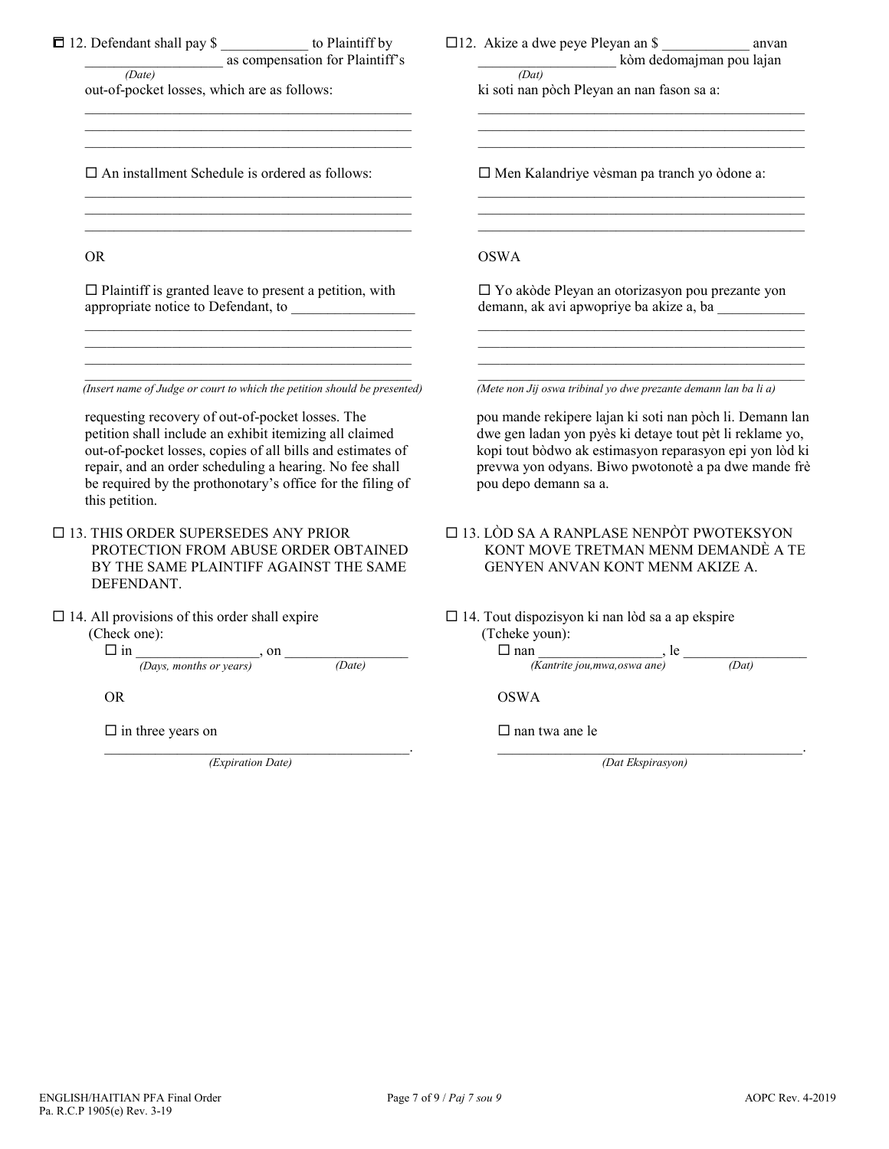| 12. Defendant shall pay \$<br>$\frac{1}{\sqrt{2\pi}} \frac{1}{\sqrt{2\pi}}$ as compensation for Plaintiff's<br>out-of-pocket losses, which are as follows:                                                                                                                                                           | $\square$ 12. Akize a dwe peye Pleyan an \$<br>anvan<br>$\frac{1}{(Dat)}$ kòm dedomajman pou lajan<br>ki soti nan pòch Pleyan an nan fason sa a:                                                                                                                 |
|----------------------------------------------------------------------------------------------------------------------------------------------------------------------------------------------------------------------------------------------------------------------------------------------------------------------|------------------------------------------------------------------------------------------------------------------------------------------------------------------------------------------------------------------------------------------------------------------|
| $\Box$ An installment Schedule is ordered as follows:                                                                                                                                                                                                                                                                | □ Men Kalandriye vèsman pa tranch yo òdone a:                                                                                                                                                                                                                    |
| <b>OR</b>                                                                                                                                                                                                                                                                                                            | <b>OSWA</b>                                                                                                                                                                                                                                                      |
| $\Box$ Plaintiff is granted leave to present a petition, with<br>appropriate notice to Defendant, to                                                                                                                                                                                                                 | □ Yo akòde Pleyan an otorizasyon pou prezante yon<br>demann, ak avi apwopriye ba akize a, ba                                                                                                                                                                     |
| (Insert name of Judge or court to which the petition should be presented)                                                                                                                                                                                                                                            | (Mete non Jij oswa tribinal yo dwe prezante demann lan ba li a)                                                                                                                                                                                                  |
| requesting recovery of out-of-pocket losses. The<br>petition shall include an exhibit itemizing all claimed<br>out-of-pocket losses, copies of all bills and estimates of<br>repair, and an order scheduling a hearing. No fee shall<br>be required by the prothonotary's office for the filing of<br>this petition. | pou mande rekipere lajan ki soti nan pòch li. Demann lan<br>dwe gen ladan yon pyès ki detaye tout pèt li reklame yo,<br>kopi tout bòdwo ak estimasyon reparasyon epi yon lòd ki<br>prevwa yon odyans. Biwo pwotonotè a pa dwe mande frè<br>pou depo demann sa a. |
| $\Box$ 13. THIS ORDER SUPERSEDES ANY PRIOR<br>PROTECTION FROM ABUSE ORDER OBTAINED<br>BY THE SAME PLAINTIFF AGAINST THE SAME<br>DEFENDANT.                                                                                                                                                                           | $\square$ 13. LÒD SA A RANPLASE NENPÒT PWOTEKSYON<br>KONT MOVE TRETMAN MENM DEMANDÈ A TE<br>GENYEN ANVAN KONT MENM AKIZE A.                                                                                                                                      |
| $\Box$ 14. All provisions of this order shall expire<br>(Check one):<br>$\Box$ in $\frac{}{(\text{days}, \text{ months or years})}$ , on $\frac{}{(\text{days}, \text{ months or years})}$<br>(Date)                                                                                                                 | $\Box$ 14. Tout dispozisyon ki nan lòd sa a ap ekspire<br>(Tcheke youn):<br>$\Box$ nan<br>(Kantrite jou, mwa, oswa ane)<br>(Kantrite jou, mwa, oswa ane)<br>(Dat)                                                                                                |
| <b>OR</b>                                                                                                                                                                                                                                                                                                            | <b>OSWA</b>                                                                                                                                                                                                                                                      |
| $\Box$ in three years on                                                                                                                                                                                                                                                                                             | $\Box$ nan twa ane le                                                                                                                                                                                                                                            |
| (Expiration Date)                                                                                                                                                                                                                                                                                                    | (Dat Ekspirasyon)                                                                                                                                                                                                                                                |
|                                                                                                                                                                                                                                                                                                                      |                                                                                                                                                                                                                                                                  |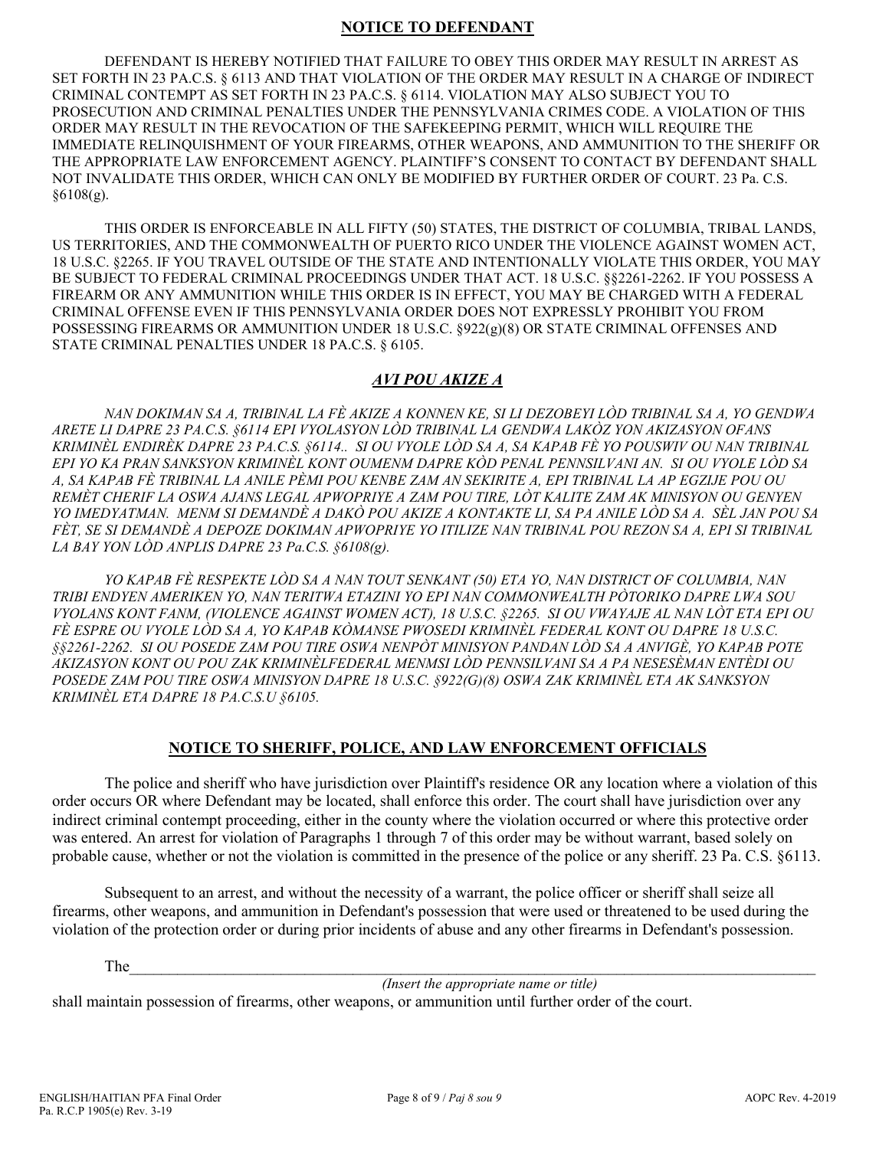### **NOTICE TO DEFENDANT**

DEFENDANT IS HEREBY NOTIFIED THAT FAILURE TO OBEY THIS ORDER MAY RESULT IN ARREST AS SET FORTH IN 23 PA.C.S. § 6113 AND THAT VIOLATION OF THE ORDER MAY RESULT IN A CHARGE OF INDIRECT CRIMINAL CONTEMPT AS SET FORTH IN 23 PA.C.S. § 6114. VIOLATION MAY ALSO SUBJECT YOU TO PROSECUTION AND CRIMINAL PENALTIES UNDER THE PENNSYLVANIA CRIMES CODE. A VIOLATION OF THIS ORDER MAY RESULT IN THE REVOCATION OF THE SAFEKEEPING PERMIT, WHICH WILL REQUIRE THE IMMEDIATE RELINQUISHMENT OF YOUR FIREARMS, OTHER WEAPONS, AND AMMUNITION TO THE SHERIFF OR THE APPROPRIATE LAW ENFORCEMENT AGENCY. PLAINTIFF'S CONSENT TO CONTACT BY DEFENDANT SHALL NOT INVALIDATE THIS ORDER, WHICH CAN ONLY BE MODIFIED BY FURTHER ORDER OF COURT. 23 Pa. C.S.  $§6108(g).$ 

THIS ORDER IS ENFORCEABLE IN ALL FIFTY (50) STATES, THE DISTRICT OF COLUMBIA, TRIBAL LANDS, US TERRITORIES, AND THE COMMONWEALTH OF PUERTO RICO UNDER THE VIOLENCE AGAINST WOMEN ACT, 18 U.S.C. §2265. IF YOU TRAVEL OUTSIDE OF THE STATE AND INTENTIONALLY VIOLATE THIS ORDER, YOU MAY BE SUBJECT TO FEDERAL CRIMINAL PROCEEDINGS UNDER THAT ACT. 18 U.S.C. §§2261-2262. IF YOU POSSESS A FIREARM OR ANY AMMUNITION WHILE THIS ORDER IS IN EFFECT, YOU MAY BE CHARGED WITH A FEDERAL CRIMINAL OFFENSE EVEN IF THIS PENNSYLVANIA ORDER DOES NOT EXPRESSLY PROHIBIT YOU FROM POSSESSING FIREARMS OR AMMUNITION UNDER 18 U.S.C. §922(g)(8) OR STATE CRIMINAL OFFENSES AND STATE CRIMINAL PENALTIES UNDER 18 PA.C.S. § 6105.

### *AVI POU AKIZE A*

*NAN DOKIMAN SA A, TRIBINAL LA FÈ AKIZE A KONNEN KE, SI LI DEZOBEYI LÒD TRIBINAL SA A, YO GENDWA ARETE LI DAPRE 23 PA.C.S. §6114 EPI VYOLASYON LÒD TRIBINAL LA GENDWA LAKÒZ YON AKIZASYON OFANS KRIMINÈL ENDIRÈK DAPRE 23 PA.C.S. §6114.. SI OU VYOLE LÒD SA A, SA KAPAB FÈ YO POUSWIV OU NAN TRIBINAL EPI YO KA PRAN SANKSYON KRIMINÈL KONT OUMENM DAPRE KÒD PENAL PENNSILVANI AN. SI OU VYOLE LÒD SA A, SA KAPAB FÈ TRIBINAL LA ANILE PÈMI POU KENBE ZAM AN SEKIRITE A, EPI TRIBINAL LA AP EGZIJE POU OU REMÈT CHERIF LA OSWA AJANS LEGAL APWOPRIYE A ZAM POU TIRE, LÒT KALITE ZAM AK MINISYON OU GENYEN YO IMEDYATMAN. MENM SI DEMANDÈ A DAKÒ POU AKIZE A KONTAKTE LI, SA PA ANILE LÒD SA A. SÈL JAN POU SA FÈT, SE SI DEMANDÈ A DEPOZE DOKIMAN APWOPRIYE YO ITILIZE NAN TRIBINAL POU REZON SA A, EPI SI TRIBINAL LA BAY YON LÒD ANPLIS DAPRE 23 Pa.C.S. §6108(g).* 

*YO KAPAB FÈ RESPEKTE LÒD SA A NAN TOUT SENKANT (50) ETA YO, NAN DISTRICT OF COLUMBIA, NAN TRIBI ENDYEN AMERIKEN YO, NAN TERITWA ETAZINI YO EPI NAN COMMONWEALTH PÒTORIKO DAPRE LWA SOU VYOLANS KONT FANM, (VIOLENCE AGAINST WOMEN ACT), 18 U.S.C. §2265. SI OU VWAYAJE AL NAN LÒT ETA EPI OU FÈ ESPRE OU VYOLE LÒD SA A, YO KAPAB KÒMANSE PWOSEDI KRIMINÈL FEDERAL KONT OU DAPRE 18 U.S.C. §§2261-2262. SI OU POSEDE ZAM POU TIRE OSWA NENPÒT MINISYON PANDAN LÒD SA A ANVIGÈ, YO KAPAB POTE AKIZASYON KONT OU POU ZAK KRIMINÈLFEDERAL MENMSI LÒD PENNSILVANI SA A PA NESESÈMAN ENTÈDI OU POSEDE ZAM POU TIRE OSWA MINISYON DAPRE 18 U.S.C. §922(G)(8) OSWA ZAK KRIMINÈL ETA AK SANKSYON KRIMINÈL ETA DAPRE 18 PA.C.S.U §6105.*

#### **NOTICE TO SHERIFF, POLICE, AND LAW ENFORCEMENT OFFICIALS**

The police and sheriff who have jurisdiction over Plaintiff's residence OR any location where a violation of this order occurs OR where Defendant may be located, shall enforce this order. The court shall have jurisdiction over any indirect criminal contempt proceeding, either in the county where the violation occurred or where this protective order was entered. An arrest for violation of Paragraphs 1 through 7 of this order may be without warrant, based solely on probable cause, whether or not the violation is committed in the presence of the police or any sheriff. 23 Pa. C.S. §6113.

Subsequent to an arrest, and without the necessity of a warrant, the police officer or sheriff shall seize all firearms, other weapons, and ammunition in Defendant's possession that were used or threatened to be used during the violation of the protection order or during prior incidents of abuse and any other firearms in Defendant's possession.

The  $\Box$ 

*(Insert the appropriate name or title)*

shall maintain possession of firearms, other weapons, or ammunition until further order of the court.